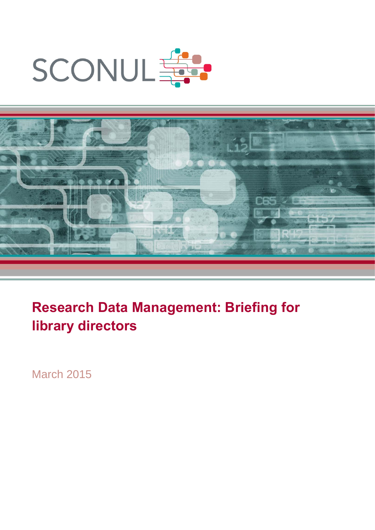



# **Research Data Management: Briefing for library directors**

March 2015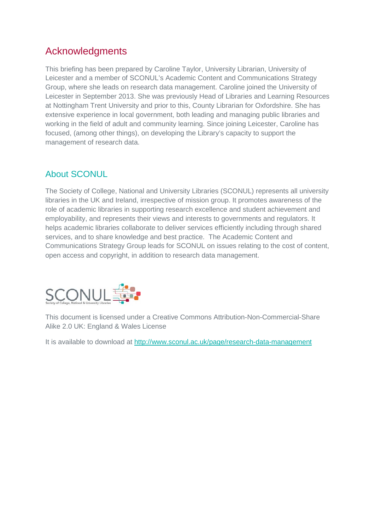## Acknowledgments

This briefing has been prepared by Caroline Taylor, University Librarian, University of Leicester and a member of SCONUL's Academic Content and Communications Strategy Group, where she leads on research data management. Caroline joined the University of Leicester in September 2013. She was previously Head of Libraries and Learning Resources at Nottingham Trent University and prior to this, County Librarian for Oxfordshire. She has extensive experience in local government, both leading and managing public libraries and working in the field of adult and community learning. Since joining Leicester, Caroline has focused, (among other things), on developing the Library's capacity to support the management of research data.

## About SCONUL

The Society of College, National and University Libraries (SCONUL) represents all university libraries in the UK and Ireland, irrespective of mission group. It promotes awareness of the role of academic libraries in supporting research excellence and student achievement and employability, and represents their views and interests to governments and regulators. It helps academic libraries collaborate to deliver services efficiently including through shared services, and to share knowledge and best practice. The Academic Content and Communications Strategy Group leads for SCONUL on issues relating to the cost of content, open access and copyright, in addition to research data management.



This document is licensed under a Creative Commons Attribution-Non-Commercial-Share Alike 2.0 UK: England & Wales License

It is available to download at<http://www.sconul.ac.uk/page/research-data-management>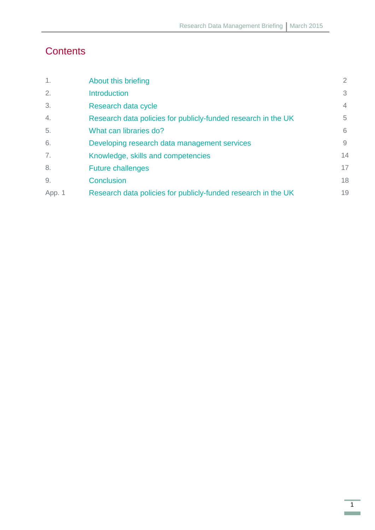# **Contents**

| $\mathbf{1}$ . | About this briefing                                           | 2              |
|----------------|---------------------------------------------------------------|----------------|
| 2.             | <b>Introduction</b>                                           | 3              |
| 3.             | Research data cycle                                           | $\overline{4}$ |
| 4.             | Research data policies for publicly-funded research in the UK | 5              |
| 5.             | What can libraries do?                                        | 6              |
| 6.             | Developing research data management services                  | 9              |
| 7.             | Knowledge, skills and competencies                            | 14             |
| 8.             | <b>Future challenges</b>                                      | 17             |
| 9.             | Conclusion                                                    | 18             |
| App. 1         | Research data policies for publicly-funded research in the UK | 19             |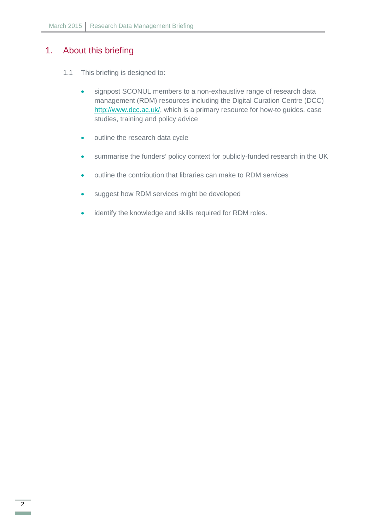## <span id="page-3-0"></span>1. About this briefing

- 1.1 This briefing is designed to:
	- signpost SCONUL members to a non-exhaustive range of research data management (RDM) resources including the Digital Curation Centre (DCC) [http://www.dcc.ac.uk/,](http://www.dcc.ac.uk/) which is a primary resource for how-to guides, case studies, training and policy advice
	- outline the research data cycle
	- summarise the funders' policy context for publicly-funded research in the UK
	- outline the contribution that libraries can make to RDM services
	- suggest how RDM services might be developed
	- identify the knowledge and skills required for RDM roles.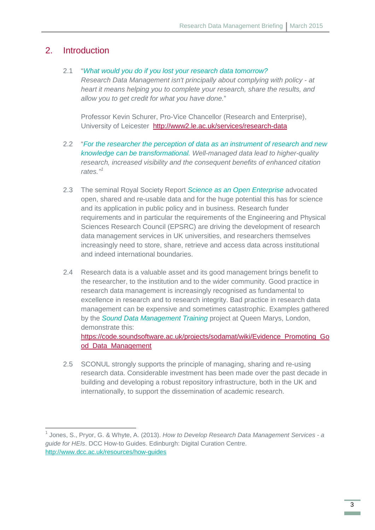## <span id="page-4-0"></span>2. Introduction

**.** 

#### 2.1 "*What would you do if you lost your research data tomorrow?*

*Research Data Management isn't principally about complying with policy - at heart it means helping you to complete your research, share the results, and allow you to get credit for what you have done.*"

Professor Kevin Schurer, Pro-Vice Chancellor (Research and Enterprise), University of Leicester<http://www2.le.ac.uk/services/research-data>

- 2.2 "*For the researcher the perception of data as an instrument of research and new knowledge can be transformational. Well-managed data lead to higher-quality research, increased visibility and the consequent benefits of enhanced citation*  rates.<sup>"[1](#page-4-1)</sup>
- 2.3 The seminal Royal Society Report *[Science as an Open Enterprise](http://royalsociety.org/policy/projects/science-public-enterprise/report/)* advocated open, shared and re-usable data and for the huge potential this has for science and its application in public policy and in business. Research funder requirements and in particular the requirements of the Engineering and Physical Sciences Research Council (EPSRC) are driving the development of research data management services in UK universities, and researchers themselves increasingly need to store, share, retrieve and access data across institutional and indeed international boundaries.
- 2.4 Research data is a valuable asset and its good management brings benefit to the researcher, to the institution and to the wider community. Good practice in research data management is increasingly recognised as fundamental to excellence in research and to research integrity. Bad practice in research data management can be expensive and sometimes catastrophic. Examples gathered by the *Sound Data Management Training* project at Queen Marys, London, demonstrate this: [https://code.soundsoftware.ac.uk/projects/sodamat/wiki/Evidence\\_Promoting\\_Go](https://code.soundsoftware.ac.uk/projects/sodamat/wiki/Evidence_Promoting_Good_Data_Management) [od\\_Data\\_Management](https://code.soundsoftware.ac.uk/projects/sodamat/wiki/Evidence_Promoting_Good_Data_Management)
- 2.5 SCONUL strongly supports the principle of managing, sharing and re-using research data. Considerable investment has been made over the past decade in building and developing a robust repository infrastructure, both in the UK and internationally, to support the dissemination of academic research.

<span id="page-4-1"></span><sup>1</sup> Jones, S., Pryor, G. & Whyte, A. (2013). *How to Develop Research Data Management Services - a guide for HEIs*. DCC How-to Guides. Edinburgh: Digital Curation Centre. <http://www.dcc.ac.uk/resources/how-guides>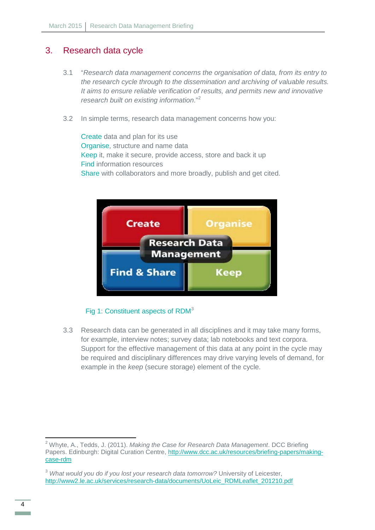## <span id="page-5-0"></span>3. Research data cycle

- 3.1 "*Research data management concerns the organisation of data, from its entry to the research cycle through to the dissemination and archiving of valuable results. It aims to ensure reliable verification of results, and permits new and innovative research built on existing information*."[2](#page-5-1)
- 3.2 In simple terms, research data management concerns how you:

Create data and plan for its use Organise, structure and name data Keep it, make it secure, provide access, store and back it up Find information resources Share with collaborators and more broadly, publish and get cited.



#### Fig 1: Constituent aspects of RDM<sup>[3](#page-5-2)</sup>

3.3 Research data can be generated in all disciplines and it may take many forms, for example, interview notes; survey data; lab notebooks and text corpora. Support for the effective management of this data at any point in the cycle may be required and disciplinary differences may drive varying levels of demand, for example in the *keep* (secure storage) element of the cycle.

**.** 

<span id="page-5-1"></span><sup>2</sup> Whyte, A., Tedds, J. (2011). *Making the Case for Research Data Management*. DCC Briefing Papers. Edinburgh: Digital Curation Centre, [http://www.dcc.ac.uk/resources/briefing-papers/making](http://www.dcc.ac.uk/resources/briefing-papers/making-case-rdm)[case-rdm](http://www.dcc.ac.uk/resources/briefing-papers/making-case-rdm)

<span id="page-5-2"></span><sup>3</sup> *What would you do if you lost your research data tomorrow?* University of Leicester, [http://www2.le.ac.uk/services/research-data/documents/UoLeic\\_RDMLeaflet\\_201210.pdf](http://www2.le.ac.uk/services/research-data/documents/UoLeic_RDMLeaflet_201210.pdf)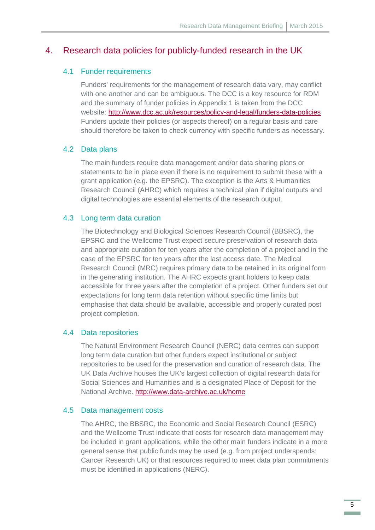#### <span id="page-6-0"></span>4. Research data policies for publicly-funded research in the UK

#### 4.1 Funder requirements

Funders' requirements for the management of research data vary, may conflict with one another and can be ambiguous. The DCC is a key resource for RDM and the summary of funder policies in Appendix 1 is taken from the DCC website:<http://www.dcc.ac.uk/resources/policy-and-legal/funders-data-policies> Funders update their policies (or aspects thereof) on a regular basis and care should therefore be taken to check currency with specific funders as necessary.

#### 4.2 Data plans

The main funders require data management and/or data sharing plans or statements to be in place even if there is no requirement to submit these with a grant application (e.g. the EPSRC). The exception is the Arts & Humanities Research Council (AHRC) which requires a technical plan if digital outputs and digital technologies are essential elements of the research output.

#### 4.3 Long term data curation

The Biotechnology and Biological Sciences Research Council (BBSRC), the EPSRC and the Wellcome Trust expect secure preservation of research data and appropriate curation for ten years after the completion of a project and in the case of the EPSRC for ten years after the last access date. The Medical Research Council (MRC) requires primary data to be retained in its original form in the generating institution. The AHRC expects grant holders to keep data accessible for three years after the completion of a project. Other funders set out expectations for long term data retention without specific time limits but emphasise that data should be available, accessible and properly curated post project completion.

#### 4.4 Data repositories

The Natural Environment Research Council (NERC) data centres can support long term data curation but other funders expect institutional or subject repositories to be used for the preservation and curation of research data. The UK Data Archive houses the UK's largest collection of digital research data for Social Sciences and Humanities and is a designated Place of Deposit for the National Archive.<http://www.data-archive.ac.uk/home>

#### 4.5 Data management costs

The AHRC, the BBSRC, the Economic and Social Research Council (ESRC) and the Wellcome Trust indicate that costs for research data management may be included in grant applications, while the other main funders indicate in a more general sense that public funds may be used (e.g. from project underspends: Cancer Research UK) or that resources required to meet data plan commitments must be identified in applications (NERC).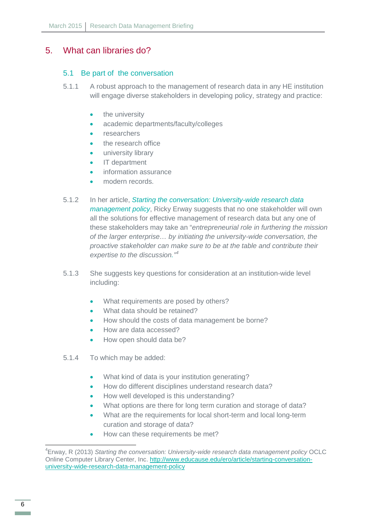## <span id="page-7-0"></span>5. What can libraries do?

#### 5.1 Be part of the conversation

- 5.1.1 A robust approach to the management of research data in any HE institution will engage diverse stakeholders in developing policy, strategy and practice:
	- the university
	- academic departments/faculty/colleges
	- **researchers**
	- the research office
	- university library
	- IT department
	- information assurance
	- modern records.
- 5.1.2 In her article, *Starting the conversation: University-wide research data management policy*, Ricky Erway suggests that no one stakeholder will own all the solutions for effective management of research data but any one of these stakeholders may take an "*entrepreneurial role in furthering the mission of the larger enterprise… by initiating the university-wide conversation, the proactive stakeholder can make sure to be at the table and contribute their expertise to the discussion." [4](#page-7-1)*
- 5.1.3 She suggests key questions for consideration at an institution-wide level including:
	- What requirements are posed by others?
	- What data should be retained?
	- How should the costs of data management be borne?
	- How are data accessed?
	- How open should data be?
- 5.1.4 To which may be added:
	- What kind of data is your institution generating?
	- How do different disciplines understand research data?
	- How well developed is this understanding?
	- What options are there for long term curation and storage of data?
	- What are the requirements for local short-term and local long-term curation and storage of data?
	- How can these requirements be met?

 $\overline{\phantom{a}}$ 

<span id="page-7-1"></span><sup>4</sup> Erway, R (2013) *Starting the conversation: University-wide research data management policy* OCLC Online Computer Library Center, Inc. [http://www.educause.edu/ero/article/starting-conversation](http://www.educause.edu/ero/article/starting-conversation-university-wide-research-data-management-policy)[university-wide-research-data-management-policy](http://www.educause.edu/ero/article/starting-conversation-university-wide-research-data-management-policy)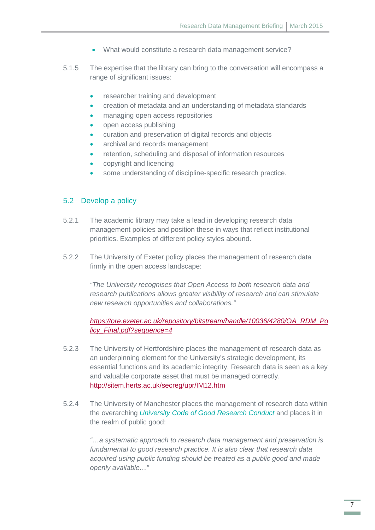- What would constitute a research data management service?
- 5.1.5 The expertise that the library can bring to the conversation will encompass a range of significant issues:
	- researcher training and development
	- creation of metadata and an understanding of metadata standards
	- managing open access repositories
	- open access publishing
	- curation and preservation of digital records and objects
	- archival and records management
	- retention, scheduling and disposal of information resources
	- copyright and licencing
	- some understanding of discipline-specific research practice.

#### 5.2 Develop a policy

- 5.2.1 The academic library may take a lead in developing research data management policies and position these in ways that reflect institutional priorities. Examples of different policy styles abound.
- 5.2.2 The University of Exeter policy places the management of research data firmly in the open access landscape:

*"The University recognises that Open Access to both research data and research publications allows greater visibility of research and can stimulate new research opportunities and collaborations."*

*[https://ore.exeter.ac.uk/repository/bitstream/handle/10036/4280/OA\\_RDM\\_Po](https://ore.exeter.ac.uk/repository/bitstream/handle/10036/4280/OA_RDM_Policy_Final.pdf?sequence=4) [licy\\_Final.pdf?sequence=4](https://ore.exeter.ac.uk/repository/bitstream/handle/10036/4280/OA_RDM_Policy_Final.pdf?sequence=4)*

- 5.2.3 The University of Hertfordshire places the management of research data as an underpinning element for the University's strategic development, its essential functions and its academic integrity. Research data is seen as a key and valuable corporate asset that must be managed correctly. <http://sitem.herts.ac.uk/secreg/upr/IM12.htm>
- 5.2.4 The University of Manchester places the management of research data within the overarching *University Code of Good Research Conduct* and places it in the realm of public good:

*"…a systematic approach to research data management and preservation is fundamental to good research practice. It is also clear that research data acquired using public funding should be treated as a public good and made openly available…"*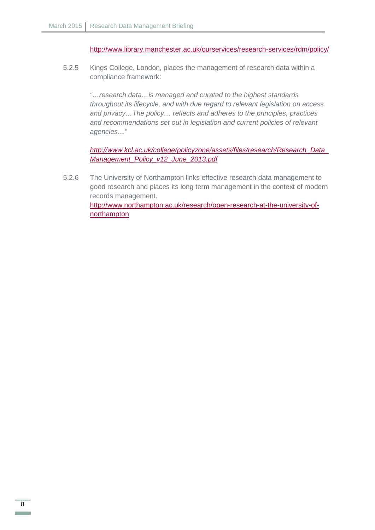<http://www.library.manchester.ac.uk/ourservices/research-services/rdm/policy/>

5.2.5 Kings College, London, places the management of research data within a compliance framework:

> *"…research data…is managed and curated to the highest standards throughout its lifecycle, and with due regard to relevant legislation on access and privacy…The policy… reflects and adheres to the principles, practices and recommendations set out in legislation and current policies of relevant agencies…"*

*[http://www.kcl.ac.uk/college/policyzone/assets/files/research/Research\\_Data\\_](http://www.kcl.ac.uk/college/policyzone/assets/files/research/Research_Data_Management_Policy_v12_June_2013.pdf) [Management\\_Policy\\_v12\\_June\\_2013.pdf](http://www.kcl.ac.uk/college/policyzone/assets/files/research/Research_Data_Management_Policy_v12_June_2013.pdf)*

5.2.6 The University of Northampton links effective research data management to good research and places its long term management in the context of modern records management. [http://www.northampton.ac.uk/research/open-research-at-the-university-of](http://www.northampton.ac.uk/research/open-research-at-the-university-of-northampton)[northampton](http://www.northampton.ac.uk/research/open-research-at-the-university-of-northampton)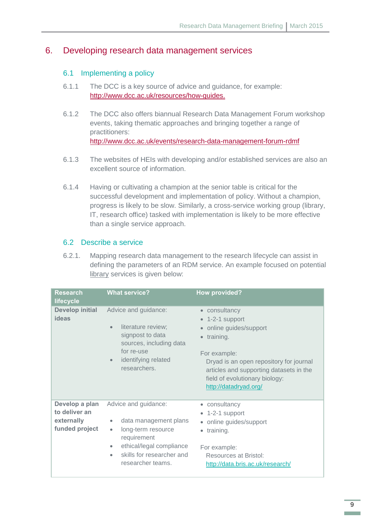## <span id="page-10-0"></span>6. Developing research data management services

#### 6.1 Implementing a policy

- 6.1.1 The DCC is a key source of advice and guidance, for example: [http://www.dcc.ac.uk/resources/how-guides.](http://www.dcc.ac.uk/resources/how-guides)
- 6.1.2 The DCC also offers biannual Research Data Management Forum workshop events, taking thematic approaches and bringing together a range of practitioners: <http://www.dcc.ac.uk/events/research-data-management-forum-rdmf>
- 6.1.3 The websites of HEIs with developing and/or established services are also an excellent source of information.
- 6.1.4 Having or cultivating a champion at the senior table is critical for the successful development and implementation of policy. Without a champion, progress is likely to be slow. Similarly, a cross-service working group (library, IT, research office) tasked with implementation is likely to be more effective than a single service approach.

#### 6.2 Describe a service

6.2.1. Mapping research data management to the research lifecycle can assist in defining the parameters of an RDM service. An example focused on potential library services is given below:

| <b>Research</b><br>lifecycle                                    | <b>What service?</b>                                                                                                                                                                                         | <b>How provided?</b>                                                                                                                                                                                                                                         |
|-----------------------------------------------------------------|--------------------------------------------------------------------------------------------------------------------------------------------------------------------------------------------------------------|--------------------------------------------------------------------------------------------------------------------------------------------------------------------------------------------------------------------------------------------------------------|
| <b>Develop initial</b><br>ideas                                 | Advice and guidance:<br>literature review;<br>$\bullet$<br>signpost to data<br>sources, including data<br>for re-use<br>identifying related<br>$\bullet$<br>researchers.                                     | • consultancy<br>$\bullet$ 1-2-1 support<br>online guides/support<br>training.<br>$\bullet$<br>For example:<br>Dryad is an open repository for journal<br>articles and supporting datasets in the<br>field of evolutionary biology:<br>http://datadryad.org/ |
| Develop a plan<br>to deliver an<br>externally<br>funded project | Advice and guidance:<br>data management plans<br>$\bullet$<br>long-term resource<br>$\bullet$<br>requirement<br>ethical/legal compliance<br>۰<br>skills for researcher and<br>$\bullet$<br>researcher teams. | • consultancy<br>• 1-2-1 support<br>• online guides/support<br>training.<br>$\bullet$<br>For example:<br>Resources at Bristol:<br>http://data.bris.ac.uk/research/                                                                                           |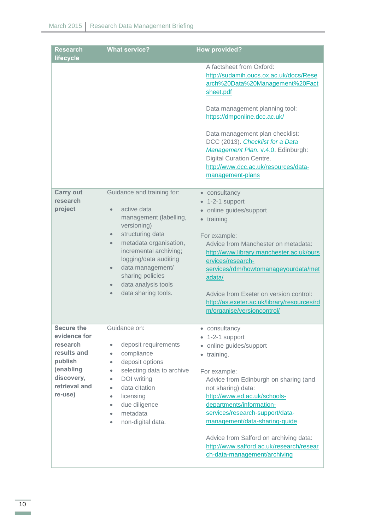| <b>Research</b><br>lifecycle | <b>What service?</b>                              | <b>How provided?</b>                                                                                                                                                                                     |
|------------------------------|---------------------------------------------------|----------------------------------------------------------------------------------------------------------------------------------------------------------------------------------------------------------|
|                              |                                                   | A factsheet from Oxford:<br>http://sudamih.oucs.ox.ac.uk/docs/Rese<br>arch%20Data%20Management%20Fact<br>sheet.pdf                                                                                       |
|                              |                                                   | Data management planning tool:<br>https://dmponline.dcc.ac.uk/                                                                                                                                           |
|                              |                                                   | Data management plan checklist:<br>DCC (2013). Checklist for a Data<br>Management Plan. v.4.0. Edinburgh:<br><b>Digital Curation Centre.</b><br>http://www.dcc.ac.uk/resources/data-<br>management-plans |
| <b>Carry out</b>             | Guidance and training for:                        | • consultancy                                                                                                                                                                                            |
| research                     |                                                   | 1-2-1 support                                                                                                                                                                                            |
| project                      | active data                                       | online guides/support<br>$\bullet$                                                                                                                                                                       |
|                              | management (labelling,<br>versioning)             | training<br>$\bullet$                                                                                                                                                                                    |
|                              | structuring data<br>$\bullet$                     | For example:                                                                                                                                                                                             |
|                              | metadata organisation,<br>$\bullet$               | Advice from Manchester on metadata:                                                                                                                                                                      |
|                              | incremental archiving;                            | http://www.library.manchester.ac.uk/ours                                                                                                                                                                 |
|                              | logging/data auditing                             | ervices/research-                                                                                                                                                                                        |
|                              | data management/<br>$\bullet$<br>sharing policies | services/rdm/howtomanageyourdata/met                                                                                                                                                                     |
|                              | data analysis tools                               | adata/                                                                                                                                                                                                   |
|                              | data sharing tools.                               | Advice from Exeter on version control:                                                                                                                                                                   |
|                              |                                                   | http://as.exeter.ac.uk/library/resources/rd                                                                                                                                                              |
|                              |                                                   | m/organise/versioncontrol/                                                                                                                                                                               |
| <b>Secure the</b>            | Guidance on:                                      | • consultancy                                                                                                                                                                                            |
| evidence for                 |                                                   | 1-2-1 support                                                                                                                                                                                            |
| research                     | deposit requirements<br>$\bullet$                 | online guides/support<br>$\bullet$                                                                                                                                                                       |
| results and<br>publish       | compliance<br>$\bullet$<br>deposit options        | training.<br>$\bullet$                                                                                                                                                                                   |
| (enabling                    | ۰<br>selecting data to archive<br>$\bullet$       | For example:                                                                                                                                                                                             |
| discovery,                   | <b>DOI</b> writing<br>$\bullet$                   | Advice from Edinburgh on sharing (and                                                                                                                                                                    |
| retrieval and                | data citation<br>٠                                | not sharing) data:                                                                                                                                                                                       |
| re-use)                      | licensing<br>$\bullet$                            | http://www.ed.ac.uk/schools-                                                                                                                                                                             |
|                              | due diligence<br>$\bullet$                        | departments/information-                                                                                                                                                                                 |
|                              | metadata<br>٠                                     | services/research-support/data-                                                                                                                                                                          |
|                              | non-digital data.<br>٠                            | management/data-sharing-guide                                                                                                                                                                            |
|                              |                                                   | Advice from Salford on archiving data:                                                                                                                                                                   |
|                              |                                                   | http://www.salford.ac.uk/research/resear                                                                                                                                                                 |
|                              |                                                   | ch-data-management/archiving                                                                                                                                                                             |
|                              |                                                   |                                                                                                                                                                                                          |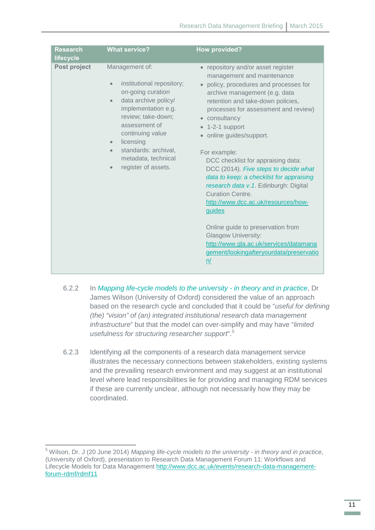| <b>Research</b><br>lifecycle | <b>What service?</b>                                                                                                                                                                                                                                                                                                           | <b>How provided?</b>                                                                                                                                                                                                                                                                                                                                                                                                                                                                                                                                                                                                                                                                                                                    |
|------------------------------|--------------------------------------------------------------------------------------------------------------------------------------------------------------------------------------------------------------------------------------------------------------------------------------------------------------------------------|-----------------------------------------------------------------------------------------------------------------------------------------------------------------------------------------------------------------------------------------------------------------------------------------------------------------------------------------------------------------------------------------------------------------------------------------------------------------------------------------------------------------------------------------------------------------------------------------------------------------------------------------------------------------------------------------------------------------------------------------|
| Post project                 | Management of:<br>institutional repository;<br>$\bullet$<br>on-going curation<br>data archive policy/<br>$\bullet$<br>implementation e.g.<br>review; take-down;<br>assessment of<br>continuing value<br>licensing<br>$\bullet$<br>standards: archival,<br>$\bullet$<br>metadata, technical<br>register of assets.<br>$\bullet$ | • repository and/or asset register<br>management and maintenance<br>policy, procedures and processes for<br>$\bullet$<br>archive management (e.g. data<br>retention and take-down policies,<br>processes for assessment and review)<br>• consultancy<br>$\bullet$ 1-2-1 support<br>online guides/support.<br>For example:<br>DCC checklist for appraising data:<br>DCC (2014). Five steps to decide what<br>data to keep: a checklist for appraising<br>research data v.1. Edinburgh: Digital<br><b>Curation Centre.</b><br>http://www.dcc.ac.uk/resources/how-<br>guides<br>Online guide to preservation from<br><b>Glasgow University:</b><br>http://www.gla.ac.uk/services/datamana<br>gement/lookingafteryourdata/preservatio<br>n/ |

- 6.2.2 In *Mapping life-cycle models to the university in theory and in practice*, Dr James Wilson (University of Oxford) considered the value of an approach based on the research cycle and concluded that it could be "*useful for defining (the) "vision" of (an) integrated institutional research data management infrastructure*" but that the model can over-simplify and may have "*limited usefulness for structuring researcher support*".[5](#page-12-0)
- 6.2.3 Identifying all the components of a research data management service illustrates the necessary connections between stakeholders, existing systems and the prevailing research environment and may suggest at an institutional level where lead responsibilities lie for providing and managing RDM services if these are currently unclear, although not necessarily how they may be coordinated.

 $\overline{a}$ 

<span id="page-12-0"></span><sup>5</sup> Wilson, Dr. J (20 June 2014) *Mapping life-cycle models to the university - in theory and in practice*, (University of Oxford), presentation to Research Data Management Forum 11: Workflows and Lifecycle Models for Data Management [http://www.dcc.ac.uk/events/research-data-management](http://www.dcc.ac.uk/events/research-data-management-forum-rdmf/rdmf11)[forum-rdmf/rdmf11](http://www.dcc.ac.uk/events/research-data-management-forum-rdmf/rdmf11)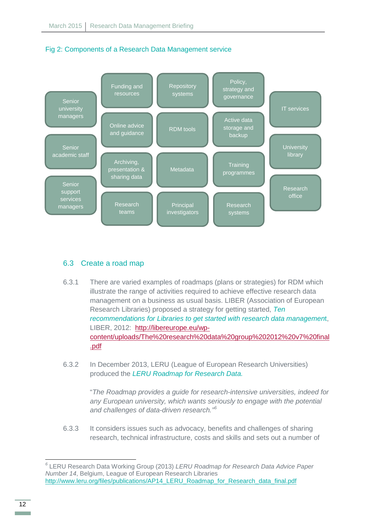



#### 6.3 Create a road map

- 6.3.1 There are varied examples of roadmaps (plans or strategies) for RDM which illustrate the range of activities required to achieve effective research data management on a business as usual basis. LIBER (Association of European Research Libraries) proposed a strategy for getting started, *Ten recommendations for Libraries to get started with research data managemen*t, LIBER, 2012: [http://libereurope.eu/wp](http://libereurope.eu/wp-content/uploads/The%20research%20data%20group%202012%20v7%20final.pdf)[content/uploads/The%20research%20data%20group%202012%20v7%20final](http://libereurope.eu/wp-content/uploads/The%20research%20data%20group%202012%20v7%20final.pdf) [.pdf](http://libereurope.eu/wp-content/uploads/The%20research%20data%20group%202012%20v7%20final.pdf)
- 6.3.2 In December 2013, LERU (League of European Research Universities) produced the *[LERU Roadmap for Research Data.](http://www.leru.org/files/publications/AP14_LERU_Roadmap_for_Research_data_final.pdf)*

"*The Roadmap provides a guide for research-intensive universities, indeed for any European university, which wants seriously to engage with the potential and challenges of data-driven research." [6](#page-13-0)*

6.3.3 It considers issues such as advocacy, benefits and challenges of sharing research, technical infrastructure, costs and skills and sets out a number of

**.** 

<span id="page-13-0"></span>*<sup>6</sup>* LERU Research Data Working Group (2013) *LERU Roadmap for Research Data Advice Paper Number 14*, Belgium, League of European Research Libraries http://www.leru.org/files/publications/AP14\_LERU\_Roadmap\_for\_Research\_data\_final.pdf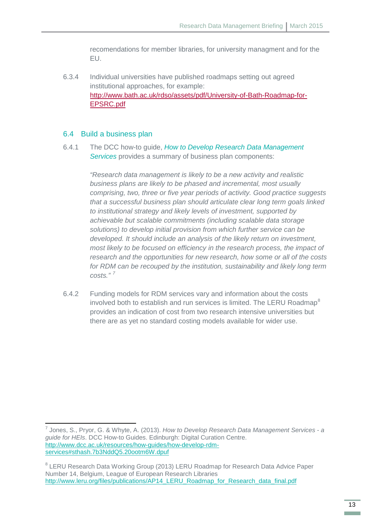recomendations for member libraries, for university managment and for the EU.

6.3.4 Individual universities have published roadmaps setting out agreed institutional approaches, for example: [http://www.bath.ac.uk/rdso/assets/pdf/University-of-Bath-Roadmap-for-](http://www.bath.ac.uk/rdso/assets/pdf/University-of-Bath-Roadmap-for-EPSRC.pdf)[EPSRC.pdf](http://www.bath.ac.uk/rdso/assets/pdf/University-of-Bath-Roadmap-for-EPSRC.pdf)

#### 6.4 Build a business plan

 $\overline{a}$ 

6.4.1 The DCC how-to guide, *How to Develop Research Data Management Services* provides a summary of business plan components:

> *"Research data management is likely to be a new activity and realistic business plans are likely to be phased and incremental, most usually comprising, two, three or five year periods of activity. Good practice suggests that a successful business plan should articulate clear long term goals linked to institutional strategy and likely levels of investment, supported by achievable but scalable commitments (including scalable data storage solutions) to develop initial provision from which further service can be developed. It should include an analysis of the likely return on investment, most likely to be focused on efficiency in the research process, the impact of research and the opportunities for new research, how some or all of the costs for RDM can be recouped by the institution, sustainability and likely long term costs." [7](#page-14-0)*

6.4.2 Funding models for RDM services vary and information about the costs involved both to establish and run services is limited. The LERU Roadmap<sup>[8](#page-14-1)</sup> provides an indication of cost from two research intensive universities but there are as yet no standard costing models available for wider use.

<span id="page-14-0"></span><sup>7</sup> Jones, S., Pryor, G. & Whyte, A. (2013). *How to Develop Research Data Management Services - a guide for HEIs*. DCC How-to Guides. Edinburgh: Digital Curation Centre. [http://www.dcc.ac.uk/resources/how-guides/how-develop-rdm](http://www.dcc.ac.uk/resources/how-guides/how-develop-rdm-services#sthash.7b3NddQ5.20ootm6W.dpuf)[services#sthash.7b3NddQ5.20ootm6W.dpuf](http://www.dcc.ac.uk/resources/how-guides/how-develop-rdm-services#sthash.7b3NddQ5.20ootm6W.dpuf)

<span id="page-14-1"></span><sup>&</sup>lt;sup>8</sup> LERU Research Data Working Group (2013) LERU Roadmap for Research Data Advice Paper Number 14, Belgium, League of European Research Libraries [http://www.leru.org/files/publications/AP14\\_LERU\\_Roadmap\\_for\\_Research\\_data\\_final.pdf](http://www.leru.org/files/publications/AP14_LERU_Roadmap_for_Research_data_final.pdf)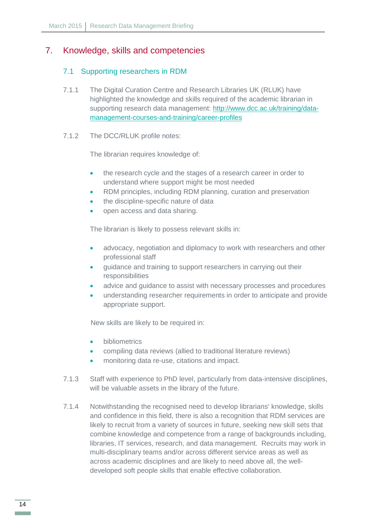## <span id="page-15-0"></span>7. Knowledge, skills and competencies

#### 7.1 Supporting researchers in RDM

- 7.1.1 The Digital Curation Centre and Research Libraries UK (RLUK) have highlighted the knowledge and skills required of the academic librarian in supporting research data management: [http://www.dcc.ac.uk/training/data](http://www.dcc.ac.uk/training/data-management-courses-and-training/career-profiles)[management-courses-and-training/career-profiles](http://www.dcc.ac.uk/training/data-management-courses-and-training/career-profiles)
- 7.1.2 The DCC/RLUK profile notes:

The librarian requires knowledge of:

- the research cycle and the stages of a research career in order to understand where support might be most needed
- RDM principles, including RDM planning, curation and preservation
- the discipline-specific nature of data
- open access and data sharing.

The librarian is likely to possess relevant skills in:

- advocacy, negotiation and diplomacy to work with researchers and other professional staff
- guidance and training to support researchers in carrying out their responsibilities
- advice and guidance to assist with necessary processes and procedures
- understanding researcher requirements in order to anticipate and provide appropriate support.

New skills are likely to be required in:

- **bibliometrics**
- compiling data reviews (allied to traditional literature reviews)
- monitoring data re-use, citations and impact.
- 7.1.3 Staff with experience to PhD level, particularly from data-intensive disciplines, will be valuable assets in the library of the future.
- 7.1.4 Notwithstanding the recognised need to develop librarians' knowledge, skills and confidence in this field, there is also a recognition that RDM services are likely to recruit from a variety of sources in future, seeking new skill sets that combine knowledge and competence from a range of backgrounds including, libraries, IT services, research, and data management. Recruits may work in multi-disciplinary teams and/or across different service areas as well as across academic disciplines and are likely to need above all, the welldeveloped soft people skills that enable effective collaboration.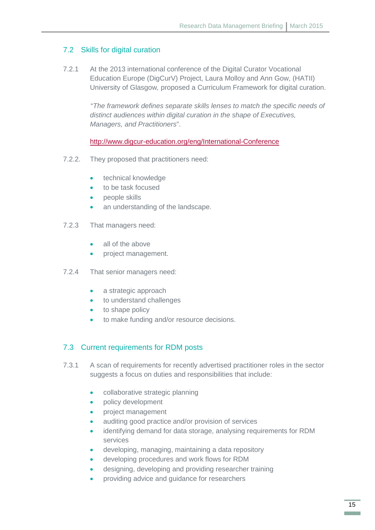#### 7.2 Skills for digital curation

7.2.1 At the 2013 international conference of the Digital Curator Vocational Education Europe (DigCurV) Project, Laura Molloy and Ann Gow, (HATII) University of Glasgow*,* proposed a Curriculum Framework for digital curation.

> "*The framework defines separate skills lenses to match the specific needs of distinct audiences within digital curation in the shape of Executives, Managers, and Practitioners*".

<http://www.digcur-education.org/eng/International-Conference>

- 7.2.2. They proposed that practitioners need:
	- technical knowledge
	- to be task focused
	- people skills
	- an understanding of the landscape.
- 7.2.3 That managers need:
	- all of the above
	- project management.
- 7.2.4 That senior managers need:
	- a strategic approach
	- to understand challenges
	- to shape policy
	- to make funding and/or resource decisions.

#### 7.3 Current requirements for RDM posts

- 7.3.1 A scan of requirements for recently advertised practitioner roles in the sector suggests a focus on duties and responsibilities that include:
	- collaborative strategic planning
	- policy development
	- project management
	- auditing good practice and/or provision of services
	- identifying demand for data storage, analysing requirements for RDM services
	- developing, managing, maintaining a data repository
	- developing procedures and work flows for RDM
	- designing, developing and providing researcher training
	- providing advice and guidance for researchers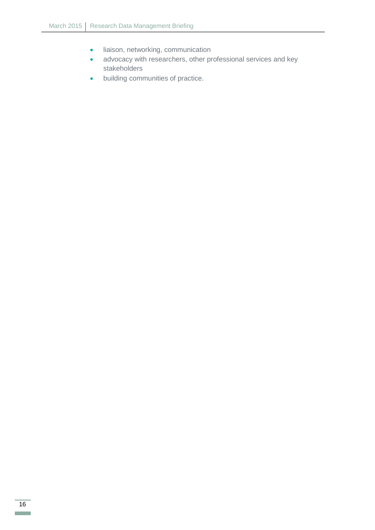- liaison, networking, communication
- advocacy with researchers, other professional services and key stakeholders
- building communities of practice.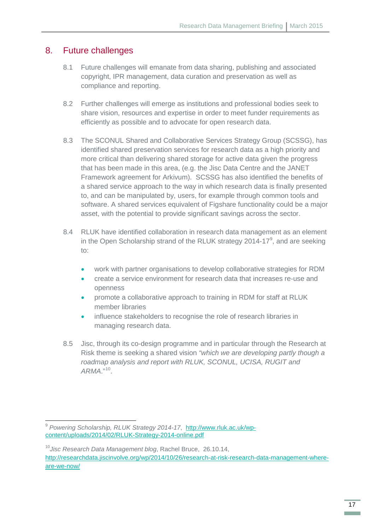#### <span id="page-18-0"></span>8. Future challenges

- 8.1 Future challenges will emanate from data sharing, publishing and associated copyright, IPR management, data curation and preservation as well as compliance and reporting.
- 8.2 Further challenges will emerge as institutions and professional bodies seek to share vision, resources and expertise in order to meet funder requirements as efficiently as possible and to advocate for open research data.
- 8.3 The SCONUL Shared and Collaborative Services Strategy Group (SCSSG), has identified shared preservation services for research data as a high priority and more critical than delivering shared storage for active data given the progress that has been made in this area, (e.g. the Jisc Data Centre and the JANET Framework agreement for Arkivum). SCSSG has also identified the benefits of a shared service approach to the way in which research data is finally presented to, and can be manipulated by, users, for example through common tools and software. A shared services equivalent of Figshare functionality could be a major asset, with the potential to provide significant savings across the sector.
- 8.4 RLUK have identified collaboration in research data management as an element in the Open Scholarship strand of the RLUK strategy 2014-17 $^9$  $^9$ , and are seeking to:
	- work with partner organisations to develop collaborative strategies for RDM
	- create a service environment for research data that increases re-use and openness
	- promote a collaborative approach to training in RDM for staff at RLUK member libraries
	- influence stakeholders to recognise the role of research libraries in managing research data.
- 8.5 Jisc, through its co-design programme and in particular through the Research at Risk theme is seeking a shared vision *"which we are developing partly though a roadmap analysis and report with RLUK, SCONUL, UCISA, RUGIT and ARMA*."[10](#page-18-2).

**.** 

<span id="page-18-1"></span><sup>9</sup> *Powering Scholarship, RLUK Strategy 2014-17*, [http://www.rluk.ac.uk/wp](http://www.rluk.ac.uk/wp-content/uploads/2014/02/RLUK-Strategy-2014-online.pdf)[content/uploads/2014/02/RLUK-Strategy-2014-online.pdf](http://www.rluk.ac.uk/wp-content/uploads/2014/02/RLUK-Strategy-2014-online.pdf)

<span id="page-18-2"></span><sup>10</sup>*Jisc Research Data Management blog*, Rachel Bruce, 26.10.14, [http://researchdata.jiscinvolve.org/wp/2014/10/26/research-at-risk-research-data-management-where](http://researchdata.jiscinvolve.org/wp/2014/10/26/research-at-risk-research-data-management-where-are-we-now/)[are-we-now/](http://researchdata.jiscinvolve.org/wp/2014/10/26/research-at-risk-research-data-management-where-are-we-now/)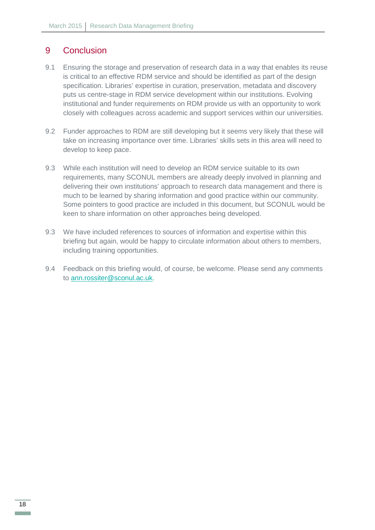## <span id="page-19-0"></span>9 Conclusion

- 9.1 Ensuring the storage and preservation of research data in a way that enables its reuse is critical to an effective RDM service and should be identified as part of the design specification. Libraries' expertise in curation, preservation, metadata and discovery puts us centre-stage in RDM service development within our institutions. Evolving institutional and funder requirements on RDM provide us with an opportunity to work closely with colleagues across academic and support services within our universities.
- 9.2 Funder approaches to RDM are still developing but it seems very likely that these will take on increasing importance over time. Libraries' skills sets in this area will need to develop to keep pace.
- 9.3 While each institution will need to develop an RDM service suitable to its own requirements, many SCONUL members are already deeply involved in planning and delivering their own institutions' approach to research data management and there is much to be learned by sharing information and good practice within our community. Some pointers to good practice are included in this document, but SCONUL would be keen to share information on other approaches being developed.
- 9.3 We have included references to sources of information and expertise within this briefing but again, would be happy to circulate information about others to members, including training opportunities.
- 9.4 Feedback on this briefing would, of course, be welcome. Please send any comments to [ann.rossiter@sconul.ac.uk.](mailto:ann.rossiter@sconul.ac.uk)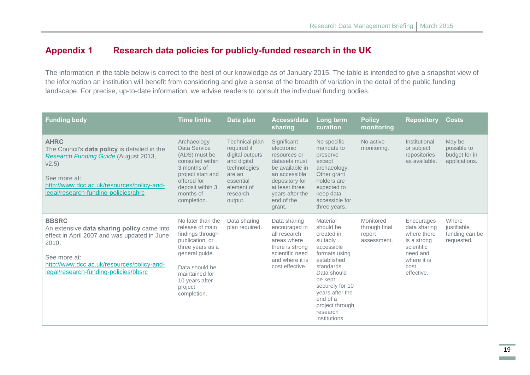## **Appendix 1 Research data policies for publicly-funded research in the UK**

The information in the table below is correct to the best of our knowledge as of January 2015. The table is intended to give a snapshot view of the information an institution will benefit from considering and give a sense of the breadth of variation in the detail of the public funding landscape. For precise, up-to-date information, we advise readers to consult the individual funding bodies.

<span id="page-20-0"></span>

| <b>Funding body</b>                                                                                                                                                                                                        | <b>Time limits</b>                                                                                                                                                                                | Data plan                                                                                                                                   | Access/data<br>sharing                                                                                                                                                        | Long term<br>curation                                                                                                                                                                                                                   | <b>Policy</b><br>monitoring                         | <b>Repository</b>                                                                                                       | <b>Costs</b>                                            |
|----------------------------------------------------------------------------------------------------------------------------------------------------------------------------------------------------------------------------|---------------------------------------------------------------------------------------------------------------------------------------------------------------------------------------------------|---------------------------------------------------------------------------------------------------------------------------------------------|-------------------------------------------------------------------------------------------------------------------------------------------------------------------------------|-----------------------------------------------------------------------------------------------------------------------------------------------------------------------------------------------------------------------------------------|-----------------------------------------------------|-------------------------------------------------------------------------------------------------------------------------|---------------------------------------------------------|
| <b>AHRC</b><br>The Council's data policy is detailed in the<br>Research Funding Guide (August 2013,<br>V2.5)<br>See more at:<br>http://www.dcc.ac.uk/resources/policy-and-<br>legal/research-funding-policies/ahrc         | Archaeology<br>Data Service<br>(ADS) must be<br>consulted within<br>3 months of<br>project start and<br>offered for<br>deposit within 3<br>months of<br>completion.                               | Technical plan<br>required if<br>digital outputs<br>and digital<br>technologies<br>are an<br>essential<br>element of<br>research<br>output. | Significant<br>electronic<br>resources or<br>datasets must<br>be available in<br>an accessible<br>depository for<br>at least three<br>years after the<br>end of the<br>grant. | No specific<br>mandate to<br>preserve<br>except<br>archaeology.<br>Other grant<br>holders are<br>expected to<br>keep data<br>accessible for<br>three years.                                                                             | No active<br>monitoring.                            | Institutional<br>or subject<br>repositories<br>as available.                                                            | May be<br>possible to<br>budget for in<br>applications. |
| <b>BBSRC</b><br>An extensive data sharing policy came into<br>effect in April 2007 and was updated in June<br>2010.<br>See more at:<br>http://www.dcc.ac.uk/resources/policy-and-<br>legal/research-funding-policies/bbsrc | No later than the<br>release of main<br>findings through<br>publication, or<br>three years as a<br>general quide.<br>Data should be<br>maintained for<br>10 years after<br>project<br>completion. | Data sharing<br>plan required.                                                                                                              | Data sharing<br>encouraged in<br>all research<br>areas where<br>there is strong<br>scientific need<br>and where it is<br>cost effective.                                      | Material<br>should be<br>created in<br>suitably<br>accessible<br>formats using<br>established<br>standards.<br>Data should<br>be kept<br>securely for 10<br>years after the<br>end of a<br>project through<br>research<br>institutions. | Monitored<br>through final<br>report<br>assessment. | Encourages<br>data sharing<br>where there<br>is a strong<br>scientific<br>need and<br>where it is<br>cost<br>effective. | Where<br>justifiable<br>funding can be<br>requested.    |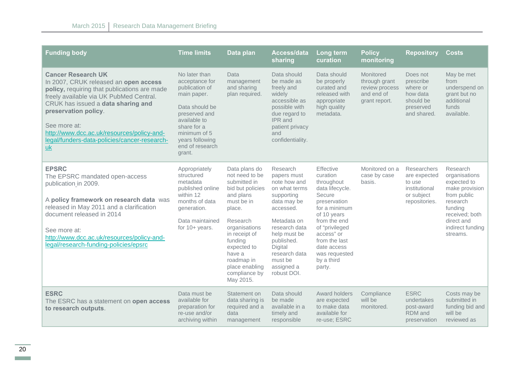| <b>Funding body</b>                                                                                                                                                                                                                                                                                                                                    | <b>Time limits</b>                                                                                                                                                                                 | Data plan                                                                                                                                                                                                                                                | Access/data<br>sharing                                                                                                                                                                                                                      | Long term<br>curation                                                                                                                                                                                                                     | <b>Policy</b><br>monitoring                                                 | <b>Repository</b>                                                                            | <b>Costs</b>                                                                                                                                                     |
|--------------------------------------------------------------------------------------------------------------------------------------------------------------------------------------------------------------------------------------------------------------------------------------------------------------------------------------------------------|----------------------------------------------------------------------------------------------------------------------------------------------------------------------------------------------------|----------------------------------------------------------------------------------------------------------------------------------------------------------------------------------------------------------------------------------------------------------|---------------------------------------------------------------------------------------------------------------------------------------------------------------------------------------------------------------------------------------------|-------------------------------------------------------------------------------------------------------------------------------------------------------------------------------------------------------------------------------------------|-----------------------------------------------------------------------------|----------------------------------------------------------------------------------------------|------------------------------------------------------------------------------------------------------------------------------------------------------------------|
| <b>Cancer Research UK</b><br>In 2007, CRUK released an open access<br>policy, requiring that publications are made<br>freely available via UK PubMed Central.<br>CRUK has issued a data sharing and<br>preservation policy.<br>See more at:<br>http://www.dcc.ac.uk/resources/policy-and-<br>legal/funders-data-policies/cancer-research-<br><b>uk</b> | No later than<br>acceptance for<br>publication of<br>main paper.<br>Data should be<br>preserved and<br>available to<br>share for a<br>minimum of 5<br>years following<br>end of research<br>grant. | Data<br>management<br>and sharing<br>plan required.                                                                                                                                                                                                      | Data should<br>be made as<br>freely and<br>widely<br>accessible as<br>possible with<br>due regard to<br><b>IPR</b> and<br>patient privacy<br>and<br>confidentiality.                                                                        | Data should<br>be properly<br>curated and<br>released with<br>appropriate<br>high quality<br>metadata.                                                                                                                                    | Monitored<br>through grant<br>review process<br>and end of<br>grant report. | Does not<br>prescribe<br>where or<br>how data<br>should be<br>preserved<br>and shared.       | May be met<br>from<br>underspend on<br>grant but no<br>additional<br>funds<br>available.                                                                         |
| <b>EPSRC</b><br>The EPSRC mandated open-access<br>publication in 2009.<br>A policy framework on research data was<br>released in May 2011 and a clarification<br>document released in 2014<br>See more at:<br>http://www.dcc.ac.uk/resources/policy-and-<br>legal/research-funding-policies/epsrc                                                      | Appropriately<br>structured<br>metadata<br>published online<br>within 12<br>months of data<br>generation.<br>Data maintained<br>for $10+$ years.                                                   | Data plans do<br>not need to be<br>submitted in<br>bid but policies<br>and plans<br>must be in<br>place.<br>Research<br>organisations<br>in receipt of<br>funding<br>expected to<br>have a<br>roadmap in<br>place enabling<br>compliance by<br>May 2015. | Research<br>papers must<br>note how and<br>on what terms<br>supporting<br>data may be<br>accessed.<br>Metadata on<br>research data<br>help must be<br>published.<br><b>Digital</b><br>research data<br>must be<br>assigned a<br>robust DOI. | Effective<br>curation<br>throughout<br>data lifecycle.<br>Secure<br>preservation<br>for a minimum<br>of 10 years<br>from the end<br>of "privileged<br>access" or<br>from the last<br>date access<br>was requested<br>by a third<br>party. | Monitored on a<br>case by case<br>basis.                                    | <b>Researchers</b><br>are expected<br>to use<br>institutional<br>or subject<br>repositories. | Research<br>organisations<br>expected to<br>make provision<br>from public<br>research<br>funding<br>received; both<br>direct and<br>indirect funding<br>streams. |
| <b>ESRC</b><br>The ESRC has a statement on open access<br>to research outputs.                                                                                                                                                                                                                                                                         | Data must be<br>available for<br>preparation for<br>re-use and/or<br>archiving within                                                                                                              | Statement on<br>data sharing is<br>required and a<br>data<br>management                                                                                                                                                                                  | Data should<br>be made<br>available in a<br>timely and<br>responsible                                                                                                                                                                       | Award holders<br>are expected<br>to make data<br>available for<br>re-use; ESRC                                                                                                                                                            | Compliance<br>will be<br>monitored.                                         | <b>ESRC</b><br>undertakes<br>post-award<br>RDM and<br>preservation                           | Costs may be<br>submitted in<br>funding bid and<br>will be<br>reviewed as                                                                                        |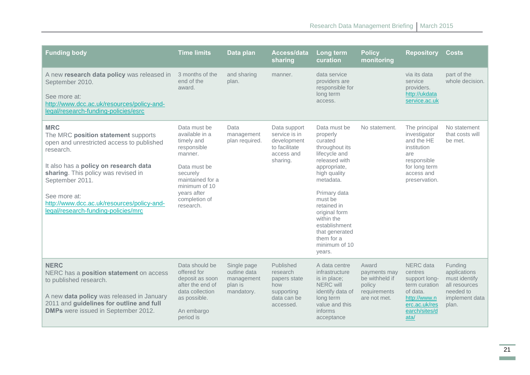| <b>Funding body</b>                                                                                                                                                                                                                                                                                                 | <b>Time limits</b>                                                                                                                                                                   | Data plan                                                          | Access/data<br>sharing                                                                  | Long term<br>curation                                                                                                                                                                                                                                                                     | <b>Policy</b><br>monitoring                                                       | <b>Repository</b>                                                                                                                | <b>Costs</b>                                                                                      |
|---------------------------------------------------------------------------------------------------------------------------------------------------------------------------------------------------------------------------------------------------------------------------------------------------------------------|--------------------------------------------------------------------------------------------------------------------------------------------------------------------------------------|--------------------------------------------------------------------|-----------------------------------------------------------------------------------------|-------------------------------------------------------------------------------------------------------------------------------------------------------------------------------------------------------------------------------------------------------------------------------------------|-----------------------------------------------------------------------------------|----------------------------------------------------------------------------------------------------------------------------------|---------------------------------------------------------------------------------------------------|
| A new research data policy was released in<br>September 2010.<br>See more at:<br>http://www.dcc.ac.uk/resources/policy-and-<br>legal/research-funding-policies/esrc                                                                                                                                                 | 3 months of the<br>end of the<br>award.                                                                                                                                              | and sharing<br>plan.                                               | manner.                                                                                 | data service<br>providers are<br>responsible for<br>long term<br>access.                                                                                                                                                                                                                  |                                                                                   | via its data<br>service<br>providers.<br>http://ukdata<br>service.ac.uk                                                          | part of the<br>whole decision.                                                                    |
| <b>MRC</b><br>The MRC position statement supports<br>open and unrestricted access to published<br>research.<br>It also has a policy on research data<br>sharing. This policy was revised in<br>September 2011.<br>See more at:<br>http://www.dcc.ac.uk/resources/policy-and-<br>legal/research-funding-policies/mrc | Data must be<br>available in a<br>timely and<br>responsible<br>manner.<br>Data must be<br>securely<br>maintained for a<br>minimum of 10<br>years after<br>completion of<br>research. | Data<br>management<br>plan required.                               | Data support<br>service is in<br>development<br>to facilitate<br>access and<br>sharing. | Data must be<br>properly<br>curated<br>throughout its<br>lifecycle and<br>released with<br>appropriate,<br>high quality<br>metadata.<br>Primary data<br>must be<br>retained in<br>original form<br>within the<br>establishment<br>that generated<br>them for a<br>minimum of 10<br>years. | No statement.                                                                     | The principal<br>investigator<br>and the HE<br>institution<br>are<br>responsible<br>for long term<br>access and<br>preservation. | No statement<br>that costs will<br>be met.                                                        |
| <b>NERC</b><br>NERC has a position statement on access<br>to published research.<br>A new data policy was released in January<br>2011 and guidelines for outline and full<br><b>DMPs</b> were issued in September 2012.                                                                                             | Data should be<br>offered for<br>deposit as soon<br>after the end of<br>data collection<br>as possible.<br>An embargo<br>period is                                                   | Single page<br>outline data<br>management<br>plan is<br>mandatory. | Published<br>research<br>papers state<br>how<br>supporting<br>data can be<br>accessed.  | A data centre<br>infrastructure<br>is in place;<br><b>NERC</b> will<br>identify data of<br>long term<br>value and this<br>informs<br>acceptance                                                                                                                                           | Award<br>payments may<br>be withheld if<br>policy<br>requirements<br>are not met. | NERC data<br>centres<br>support long-<br>term curation<br>of data.<br>http://www.n<br>erc.ac.uk/res<br>earch/sites/d<br>ata/     | Funding<br>applications<br>must identify<br>all resources<br>needed to<br>implement data<br>plan. |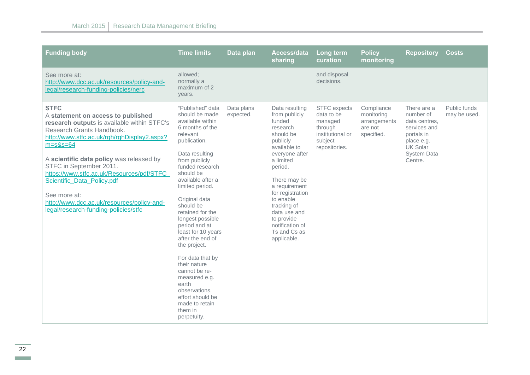| <b>Funding body</b>                                                                                                                                                                                                                                                                                                                                                                                                                                    | <b>Time limits</b>                                                                                                                                                                                                                                                                                                                                                                                                                                                                                                                | Data plan               | Access/data<br>sharing                                                                                                                                                                                                                                                                                    | Long term<br>curation                                                                                   | <b>Policy</b><br>monitoring                                       | <b>Repository</b>                                                                                                                         | <b>Costs</b>                 |
|--------------------------------------------------------------------------------------------------------------------------------------------------------------------------------------------------------------------------------------------------------------------------------------------------------------------------------------------------------------------------------------------------------------------------------------------------------|-----------------------------------------------------------------------------------------------------------------------------------------------------------------------------------------------------------------------------------------------------------------------------------------------------------------------------------------------------------------------------------------------------------------------------------------------------------------------------------------------------------------------------------|-------------------------|-----------------------------------------------------------------------------------------------------------------------------------------------------------------------------------------------------------------------------------------------------------------------------------------------------------|---------------------------------------------------------------------------------------------------------|-------------------------------------------------------------------|-------------------------------------------------------------------------------------------------------------------------------------------|------------------------------|
| See more at:<br>http://www.dcc.ac.uk/resources/policy-and-<br>legal/research-funding-policies/nerc                                                                                                                                                                                                                                                                                                                                                     | allowed:<br>normally a<br>maximum of 2<br>years.                                                                                                                                                                                                                                                                                                                                                                                                                                                                                  |                         |                                                                                                                                                                                                                                                                                                           | and disposal<br>decisions.                                                                              |                                                                   |                                                                                                                                           |                              |
| <b>STFC</b><br>A statement on access to published<br>research outputs is available within STFC's<br>Research Grants Handbook.<br>http://www.stfc.ac.uk/rgh/rghDisplay2.aspx?<br>$m = s&s = 64$<br>A scientific data policy was released by<br>STFC in September 2011.<br>https://www.stfc.ac.uk/Resources/pdf/STFC<br>Scientific_Data_Policy.pdf<br>See more at:<br>http://www.dcc.ac.uk/resources/policy-and-<br>legal/research-funding-policies/stfc | "Published" data<br>should be made<br>available within<br>6 months of the<br>relevant<br>publication.<br>Data resulting<br>from publicly<br>funded research<br>should be<br>available after a<br>limited period.<br>Original data<br>should be<br>retained for the<br>longest possible<br>period and at<br>least for 10 years<br>after the end of<br>the project.<br>For data that by<br>their nature<br>cannot be re-<br>measured e.g.<br>earth<br>observations,<br>effort should be<br>made to retain<br>them in<br>perpetuity. | Data plans<br>expected. | Data resulting<br>from publicly<br>funded<br>research<br>should be<br>publicly<br>available to<br>everyone after<br>a limited<br>period.<br>There may be<br>a requirement<br>for registration<br>to enable<br>tracking of<br>data use and<br>to provide<br>notification of<br>Ts and Cs as<br>applicable. | <b>STFC</b> expects<br>data to be<br>managed<br>through<br>institutional or<br>subject<br>repositories. | Compliance<br>monitoring<br>arrangements<br>are not<br>specified. | There are a<br>number of<br>data centres,<br>services and<br>portals in<br>place e.g.<br><b>UK Solar</b><br><b>System Data</b><br>Centre. | Public funds<br>may be used. |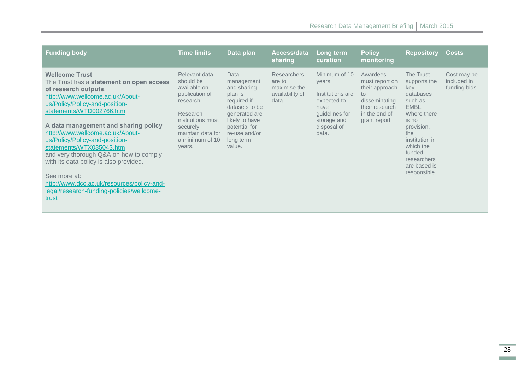| <b>Funding body</b>                                                                                                                                                                                                                                                                                                                                                                                                                                                                                                                           | <b>Time limits</b>                                                                                                                                                       | Data plan                                                                                                                                                                 | Access/data<br>sharing                                                   | Long term<br>curation                                                                                                       | <b>Policy</b><br>monitoring                                                                                              | <b>Repository</b>                                                                                                                                                                                      | <b>Costs</b>                               |
|-----------------------------------------------------------------------------------------------------------------------------------------------------------------------------------------------------------------------------------------------------------------------------------------------------------------------------------------------------------------------------------------------------------------------------------------------------------------------------------------------------------------------------------------------|--------------------------------------------------------------------------------------------------------------------------------------------------------------------------|---------------------------------------------------------------------------------------------------------------------------------------------------------------------------|--------------------------------------------------------------------------|-----------------------------------------------------------------------------------------------------------------------------|--------------------------------------------------------------------------------------------------------------------------|--------------------------------------------------------------------------------------------------------------------------------------------------------------------------------------------------------|--------------------------------------------|
| <b>Wellcome Trust</b><br>The Trust has a statement on open access<br>of research outputs.<br>http://www.wellcome.ac.uk/About-<br>us/Policy/Policy-and-position-<br>statements/WTD002766.htm<br>A data management and sharing policy<br>http://www.wellcome.ac.uk/About-<br>us/Policy/Policy-and-position-<br>statements/WTX035043.htm<br>and very thorough Q&A on how to comply<br>with its data policy is also provided.<br>See more at:<br>http://www.dcc.ac.uk/resources/policy-and-<br>legal/research-funding-policies/wellcome-<br>trust | Relevant data<br>should be<br>available on<br>publication of<br>research.<br>Research<br>institutions must<br>securely<br>maintain data for<br>a minimum of 10<br>years. | Data<br>management<br>and sharing<br>plan is<br>required if<br>datasets to be<br>generated are<br>likely to have<br>potential for<br>re-use and/or<br>long term<br>value. | <b>Researchers</b><br>are to<br>maximise the<br>availability of<br>data. | Minimum of 10<br>years.<br>Institutions are<br>expected to<br>have<br>guidelines for<br>storage and<br>disposal of<br>data. | Awardees<br>must report on<br>their approach<br>to:<br>disseminating<br>their research<br>in the end of<br>grant report. | The Trust<br>supports the<br>key<br>databases<br>such as<br>EMBL.<br>Where there<br>is no<br>provision,<br>the<br>institution in<br>which the<br>funded<br>researchers<br>are based is<br>responsible. | Cost may be<br>included in<br>funding bids |